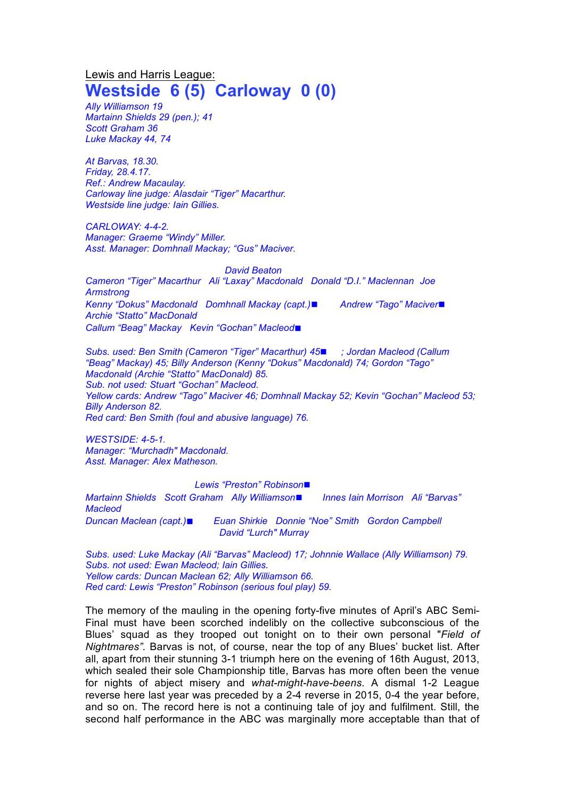## Lewis and Harris League: **Westside 6 (5) Carloway 0 (0)**

*Ally Williamson 19 Martainn Shields 29 (pen.); 41 Scott Graham 36 Luke Mackay 44, 74*

*At Barvas, 18.30. Friday, 28.4.17. Ref.: Andrew Macaulay. Carloway line judge: Alasdair "Tiger" Macarthur. Westside line judge: Iain Gillies.*

*CARLOWAY: 4-4-2. Manager: Graeme "Windy" Miller. Asst. Manager: Domhnall Mackay; "Gus" Maciver.*

*David Beaton Cameron "Tiger" Macarthur Ali "Laxay" Macdonald Donald "D.I." Maclennan Joe Armstrong Kenny "Dokus" Macdonald Domhnall Mackay (capt.)*◼ *Andrew "Tago" Maciver*◼ *Archie "Statto" MacDonald Callum "Beag" Mackay Kevin "Gochan" Macleod*◼

*Subs. used: Ben Smith (Cameron "Tiger" Macarthur) 45*◼ *; Jordan Macleod (Callum "Beag" Mackay) 45; Billy Anderson (Kenny "Dokus" Macdonald) 74; Gordon "Tago" Macdonald (Archie "Statto" MacDonald) 85. Sub. not used: Stuart "Gochan" Macleod. Yellow cards: Andrew "Tago" Maciver 46; Domhnall Mackay 52; Kevin "Gochan" Macleod 53; Billy Anderson 82. Red card: Ben Smith (foul and abusive language) 76.*

*WESTSIDE: 4-5-1. Manager: "Murchadh" Macdonald. Asst. Manager: Alex Matheson.*

## *Lewis "Preston" Robinson*◼

*Martainn Shields Scott Graham Ally Williamson*◼ *Innes Iain Morrison Ali "Barvas" Macleod Duncan Maclean (capt.)*◼ *Euan Shirkie Donnie "Noe" Smith Gordon Campbell David "Lurch" Murray*

*Subs. used: Luke Mackay (Ali "Barvas" Macleod) 17; Johnnie Wallace (Ally Williamson) 79. Subs. not used: Ewan Macleod; Iain Gillies. Yellow cards: Duncan Maclean 62; Ally Williamson 66. Red card: Lewis "Preston" Robinson (serious foul play) 59.*

The memory of the mauling in the opening forty-five minutes of April's ABC Semi-Final must have been scorched indelibly on the collective subconscious of the Blues' squad as they trooped out tonight on to their own personal "*Field of Nightmares".* Barvas is not, of course, near the top of any Blues' bucket list. After all, apart from their stunning 3-1 triumph here on the evening of 16th August, 2013, which sealed their sole Championship title, Barvas has more often been the venue for nights of abject misery and *what-might-have-beens*. A dismal 1-2 League reverse here last year was preceded by a 2-4 reverse in 2015, 0-4 the year before, and so on. The record here is not a continuing tale of joy and fulfilment. Still, the second half performance in the ABC was marginally more acceptable than that of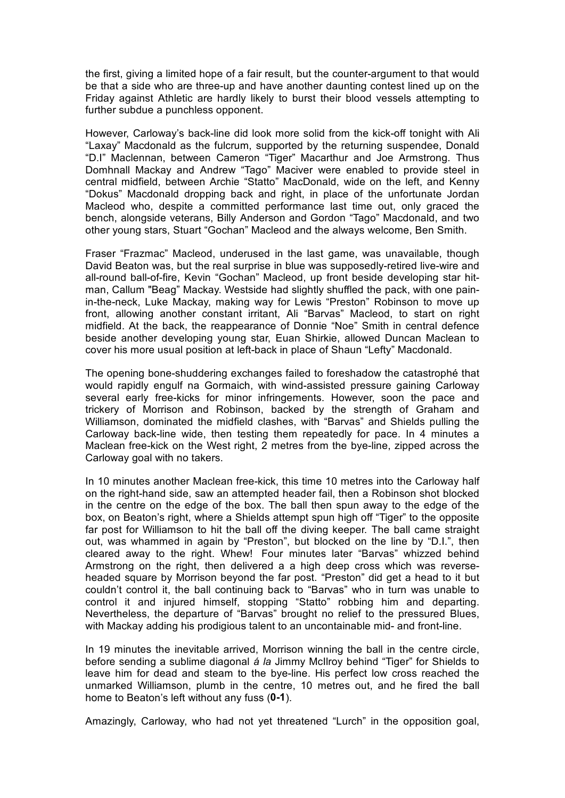the first, giving a limited hope of a fair result, but the counter-argument to that would be that a side who are three-up and have another daunting contest lined up on the Friday against Athletic are hardly likely to burst their blood vessels attempting to further subdue a punchless opponent.

However, Carloway's back-line did look more solid from the kick-off tonight with Ali "Laxay" Macdonald as the fulcrum, supported by the returning suspendee, Donald "D.I" Maclennan, between Cameron "Tiger" Macarthur and Joe Armstrong. Thus Domhnall Mackay and Andrew "Tago" Maciver were enabled to provide steel in central midfield, between Archie "Statto" MacDonald, wide on the left, and Kenny "Dokus" Macdonald dropping back and right, in place of the unfortunate Jordan Macleod who, despite a committed performance last time out, only graced the bench, alongside veterans, Billy Anderson and Gordon "Tago" Macdonald, and two other young stars, Stuart "Gochan" Macleod and the always welcome, Ben Smith.

Fraser "Frazmac" Macleod, underused in the last game, was unavailable, though David Beaton was, but the real surprise in blue was supposedly-retired live-wire and all-round ball-of-fire, Kevin "Gochan" Macleod, up front beside developing star hitman, Callum "Beag" Mackay. Westside had slightly shuffled the pack, with one painin-the-neck, Luke Mackay, making way for Lewis "Preston" Robinson to move up front, allowing another constant irritant, Ali "Barvas" Macleod, to start on right midfield. At the back, the reappearance of Donnie "Noe" Smith in central defence beside another developing young star, Euan Shirkie, allowed Duncan Maclean to cover his more usual position at left-back in place of Shaun "Lefty" Macdonald.

The opening bone-shuddering exchanges failed to foreshadow the catastrophé that would rapidly engulf na Gormaich, with wind-assisted pressure gaining Carloway several early free-kicks for minor infringements. However, soon the pace and trickery of Morrison and Robinson, backed by the strength of Graham and Williamson, dominated the midfield clashes, with "Barvas" and Shields pulling the Carloway back-line wide, then testing them repeatedly for pace. In 4 minutes a Maclean free-kick on the West right, 2 metres from the bye-line, zipped across the Carloway goal with no takers.

In 10 minutes another Maclean free-kick, this time 10 metres into the Carloway half on the right-hand side, saw an attempted header fail, then a Robinson shot blocked in the centre on the edge of the box. The ball then spun away to the edge of the box, on Beaton's right, where a Shields attempt spun high off "Tiger" to the opposite far post for Williamson to hit the ball off the diving keeper. The ball came straight out, was whammed in again by "Preston", but blocked on the line by "D.I.", then cleared away to the right. Whew! Four minutes later "Barvas" whizzed behind Armstrong on the right, then delivered a a high deep cross which was reverseheaded square by Morrison beyond the far post. "Preston" did get a head to it but couldn't control it, the ball continuing back to "Barvas" who in turn was unable to control it and injured himself, stopping "Statto" robbing him and departing. Nevertheless, the departure of "Barvas" brought no relief to the pressured Blues, with Mackay adding his prodigious talent to an uncontainable mid- and front-line.

In 19 minutes the inevitable arrived, Morrison winning the ball in the centre circle, before sending a sublime diagonal *á la* Jimmy McIlroy behind "Tiger" for Shields to leave him for dead and steam to the bye-line. His perfect low cross reached the unmarked Williamson, plumb in the centre, 10 metres out, and he fired the ball home to Beaton's left without any fuss (**0-1**).

Amazingly, Carloway, who had not yet threatened "Lurch" in the opposition goal,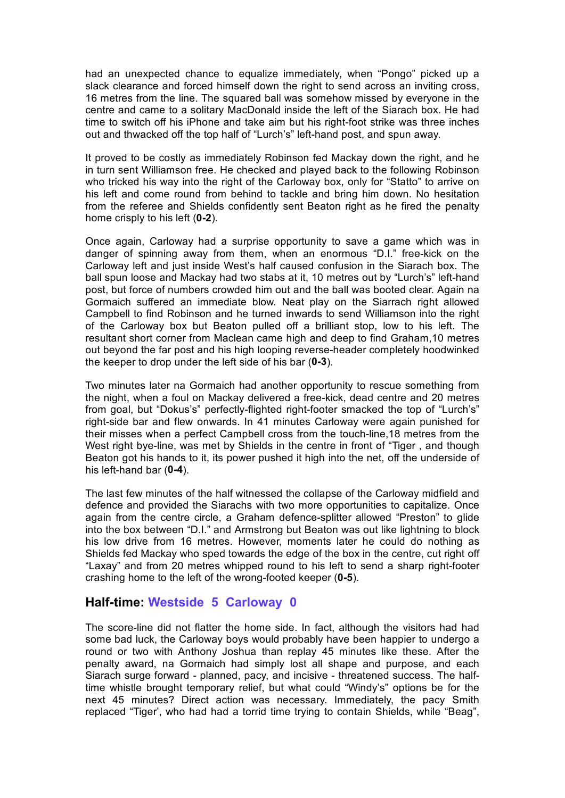had an unexpected chance to equalize immediately, when "Pongo" picked up a slack clearance and forced himself down the right to send across an inviting cross, 16 metres from the line. The squared ball was somehow missed by everyone in the centre and came to a solitary MacDonald inside the left of the Siarach box. He had time to switch off his iPhone and take aim but his right-foot strike was three inches out and thwacked off the top half of "Lurch's" left-hand post, and spun away.

It proved to be costly as immediately Robinson fed Mackay down the right, and he in turn sent Williamson free. He checked and played back to the following Robinson who tricked his way into the right of the Carloway box, only for "Statto" to arrive on his left and come round from behind to tackle and bring him down. No hesitation from the referee and Shields confidently sent Beaton right as he fired the penalty home crisply to his left (**0-2**).

Once again, Carloway had a surprise opportunity to save a game which was in danger of spinning away from them, when an enormous "D.I." free-kick on the Carloway left and just inside West's half caused confusion in the Siarach box. The ball spun loose and Mackay had two stabs at it, 10 metres out by "Lurch's" left-hand post, but force of numbers crowded him out and the ball was booted clear. Again na Gormaich suffered an immediate blow. Neat play on the Siarrach right allowed Campbell to find Robinson and he turned inwards to send Williamson into the right of the Carloway box but Beaton pulled off a brilliant stop, low to his left. The resultant short corner from Maclean came high and deep to find Graham,10 metres out beyond the far post and his high looping reverse-header completely hoodwinked the keeper to drop under the left side of his bar (**0-3**).

Two minutes later na Gormaich had another opportunity to rescue something from the night, when a foul on Mackay delivered a free-kick, dead centre and 20 metres from goal, but "Dokus's" perfectly-flighted right-footer smacked the top of "Lurch's" right-side bar and flew onwards. In 41 minutes Carloway were again punished for their misses when a perfect Campbell cross from the touch-line,18 metres from the West right bye-line, was met by Shields in the centre in front of "Tiger , and though Beaton got his hands to it, its power pushed it high into the net, off the underside of his left-hand bar (**0-4**).

The last few minutes of the half witnessed the collapse of the Carloway midfield and defence and provided the Siarachs with two more opportunities to capitalize. Once again from the centre circle, a Graham defence-splitter allowed "Preston" to glide into the box between "D.I." and Armstrong but Beaton was out like lightning to block his low drive from 16 metres. However, moments later he could do nothing as Shields fed Mackay who sped towards the edge of the box in the centre, cut right off "Laxay" and from 20 metres whipped round to his left to send a sharp right-footer crashing home to the left of the wrong-footed keeper (**0-5**).

## **Half-time: Westside 5 Carloway 0**

The score-line did not flatter the home side. In fact, although the visitors had had some bad luck, the Carloway boys would probably have been happier to undergo a round or two with Anthony Joshua than replay 45 minutes like these. After the penalty award, na Gormaich had simply lost all shape and purpose, and each Siarach surge forward - planned, pacy, and incisive - threatened success. The halftime whistle brought temporary relief, but what could "Windy's" options be for the next 45 minutes? Direct action was necessary. Immediately, the pacy Smith replaced "Tiger', who had had a torrid time trying to contain Shields, while "Beag",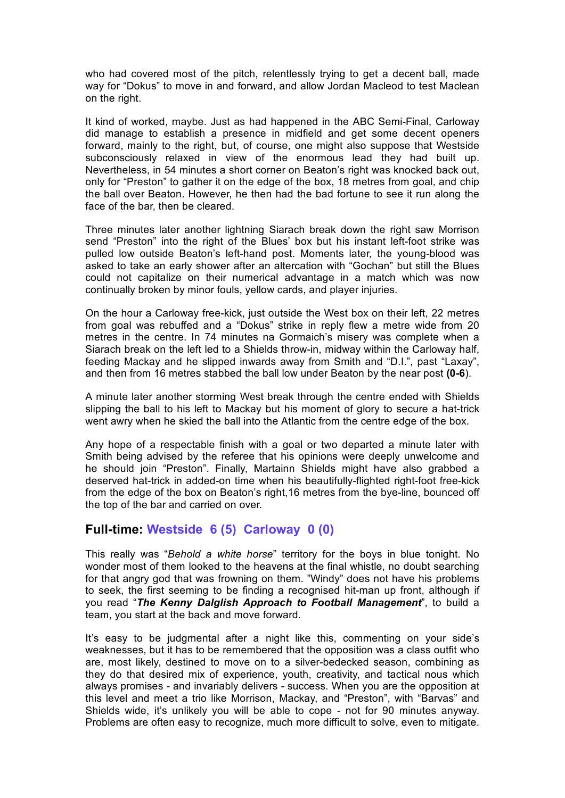who had covered most of the pitch, relentlessly trying to get a decent ball, made way for "Dokus" to move in and forward, and allow Jordan Macleod to test Maclean on the right.

It kind of worked, maybe. Just as had happened in the ABC Semi-Final, Carloway did manage to establish a presence in midfield and get some decent openers forward, mainly to the right, but, of course, one might also suppose that Westside subconsciously relaxed in view of the enormous lead they had built up. Nevertheless, in 54 minutes a short corner on Beaton's right was knocked back out, only for "Preston" to gather it on the edge of the box, 18 metres from goal, and chip the ball over Beaton. However, he then had the bad fortune to see it run along the face of the bar, then be cleared.

Three minutes later another lightning Siarach break down the right saw Morrison send "Preston" into the right of the Blues' box but his instant left-foot strike was pulled low outside Beaton's left-hand post. Moments later, the young-blood was asked to take an early shower after an altercation with "Gochan" but still the Blues could not capitalize on their numerical advantage in a match which was now continually broken by minor fouls, yellow cards, and player injuries.

On the hour a Carloway free-kick, just outside the West box on their left, 22 metres from goal was rebuffed and a "Dokus" strike in reply flew a metre wide from 20 metres in the centre. In 74 minutes na Gormaich's misery was complete when a Siarach break on the left led to a Shields throw-in, midway within the Carloway half, feeding Mackay and he slipped inwards away from Smith and "D.I.", past "Laxay", and then from 16 metres stabbed the ball low under Beaton by the near post **(0-6**).

A minute later another storming West break through the centre ended with Shields slipping the ball to his left to Mackay but his moment of glory to secure a hat-trick went awry when he skied the ball into the Atlantic from the centre edge of the box.

Any hope of a respectable finish with a goal or two departed a minute later with Smith being advised by the referee that his opinions were deeply unwelcome and he should join "Preston". Finally, Martainn Shields might have also grabbed a deserved hat-trick in added-on time when his beautifully-flighted right-foot free-kick from the edge of the box on Beaton's right,16 metres from the bye-line, bounced off the top of the bar and carried on over.

## **Full-time: Westside 6 (5) Carloway 0 (0)**

This really was "*Behold a white horse*" territory for the boys in blue tonight. No wonder most of them looked to the heavens at the final whistle, no doubt searching for that angry god that was frowning on them. "Windy" does not have his problems to seek, the first seeming to be finding a recognised hit-man up front, although if you read "*The Kenny Dalglish Approach to Football Management*", to build a team, you start at the back and move forward.

It's easy to be judgmental after a night like this, commenting on your side's weaknesses, but it has to be remembered that the opposition was a class outfit who are, most likely, destined to move on to a silver-bedecked season, combining as they do that desired mix of experience, youth, creativity, and tactical nous which always promises - and invariably delivers - success. When you are the opposition at this level and meet a trio like Morrison, Mackay, and "Preston", with "Barvas" and Shields wide, it's unlikely you will be able to cope - not for 90 minutes anyway. Problems are often easy to recognize, much more difficult to solve, even to mitigate.